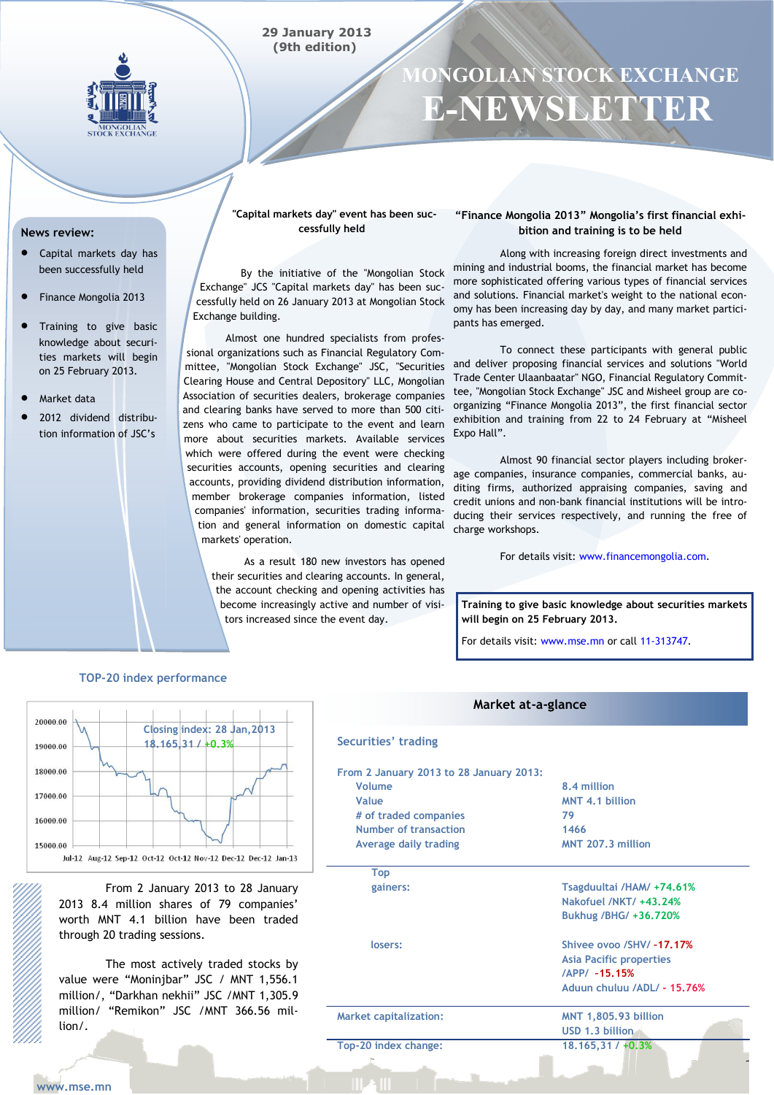

# **MONGOLIAN STOCK EXCHANGE E-NEWSLETTER**

#### **News review:**

- Capital markets day has been successfully held
- Finance Mongolia 2013
- Training to give basic knowledge about securities markets will begin on 25 February 2013.
- Market data
- 2012 dividend distribution information of JSC's

**"Capital markets day" event has been successfully held**

By the initiative of the "Mongolian Stock Exchange" JCS "Capital markets day" has been successfully held on 26 January 2013 at Mongolian Stock Exchange building.

 Almost one hundred specialists from professional organizations such as Financial Regulatory Committee, "Mongolian Stock Exchange" JSC, "Securities Clearing House and Central Depository" LLC, Mongolian Association of securities dealers, brokerage companies and clearing banks have served to more than 500 citizens who came to participate to the event and learn more about securities markets. Available services which were offered during the event were checking securities accounts, opening securities and clearing accounts, providing dividend distribution information, member brokerage companies information, listed companies' information, securities trading information and general information on domestic capital markets' operation.

> As a result 180 new investors has opened their securities and clearing accounts. In general, the account checking and opening activities has become increasingly active and number of visitors increased since the event day.

### **"Finance Mongolia 2013" Mongolia's first financial exhibition and training is to be held**

Along with increasing foreign direct investments and mining and industrial booms, the financial market has become more sophisticated offering various types of financial services and solutions. Financial market's weight to the national economy has been increasing day by day, and many market participants has emerged.

To connect these participants with general public and deliver proposing financial services and solutions "World Trade Center Ulaanbaatar" NGO, Financial Regulatory Committee, "Mongolian Stock Exchange" JSC and Misheel group are coorganizing "Finance Mongolia 2013", the first financial sector exhibition and training from 22 to 24 February at "Misheel Expo Hall".

Almost 90 financial sector players including brokerage companies, insurance companies, commercial banks, auditing firms, authorized appraising companies, saving and credit unions and non-bank financial institutions will be introducing their services respectively, and running the free of charge workshops.

For details visit: www.financemongolia.com.

**Training to give basic knowledge about securities markets will begin on 25 February 2013.** 

**18.165,31 / +0.3%**

For details visit: www.mse.mn or call 11-313747.

#### **TOP-20 index performance**



From 2 January 2013 to 28 January 2013 8.4 million shares of 79 companies' worth MNT 4.1 billion have been traded through 20 trading sessions.

The most actively traded stocks by value were "Moninjbar" JSC / MNT 1,556.1 million/, "Darkhan nekhii" JSC /MNT 1,305.9 million/ "Remikon" JSC /MNT 366.56 million/.

# **Market at-a-glance**

| Securities' trading                     |                                      |  |  |  |
|-----------------------------------------|--------------------------------------|--|--|--|
| From 2 January 2013 to 28 January 2013: |                                      |  |  |  |
| Volume                                  | 8.4 million<br>MNT 4.1 billion<br>79 |  |  |  |
| Value                                   |                                      |  |  |  |
| # of traded companies                   |                                      |  |  |  |
| Number of transaction                   | 1466                                 |  |  |  |
| Average daily trading                   | MNT 207.3 million                    |  |  |  |
| <b>Top</b>                              |                                      |  |  |  |
| gainers:                                | Tsagduultai /HAM/ +74.61%            |  |  |  |
|                                         | Nakofuel /NKT/ +43.24%               |  |  |  |
|                                         | Bukhug / BHG / +36,720%              |  |  |  |
| losers:                                 | Shivee ovoo /SHV/-17.17%             |  |  |  |
|                                         | <b>Asia Pacific properties</b>       |  |  |  |
|                                         | /APP/ -15.15%                        |  |  |  |
|                                         | Aduun chuluu /ADL/ - 15.76%          |  |  |  |
| <b>Market capitalization:</b>           | <b>MNT 1,805.93 billion</b>          |  |  |  |
|                                         | USD 1.3 billion                      |  |  |  |

**Top-20 index change:**